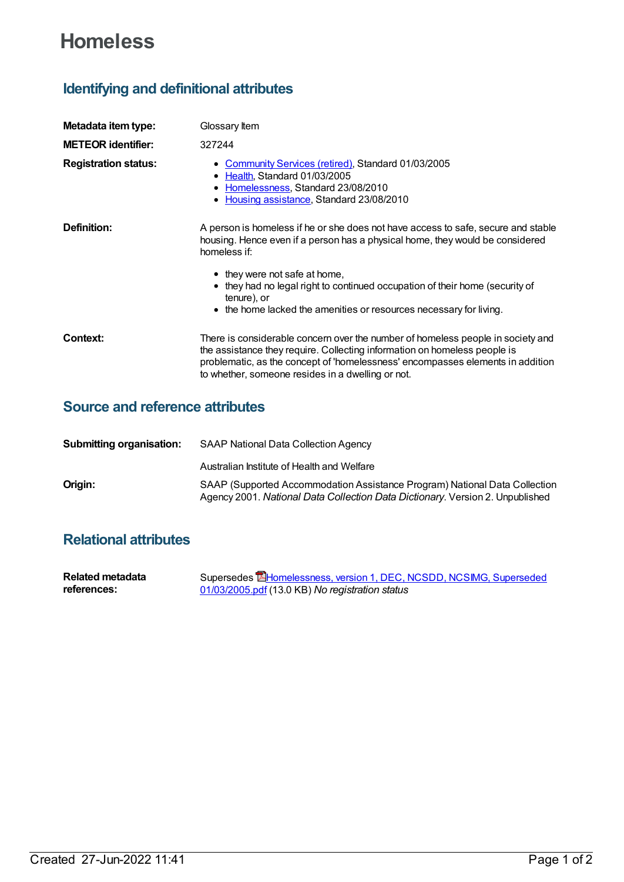# **Homeless**

## **Identifying and definitional attributes**

| Metadata item type:         | Glossary Item                                                                                                                                                                                                                                                                                       |
|-----------------------------|-----------------------------------------------------------------------------------------------------------------------------------------------------------------------------------------------------------------------------------------------------------------------------------------------------|
| <b>METEOR identifier:</b>   | 327244                                                                                                                                                                                                                                                                                              |
| <b>Registration status:</b> | • Community Services (retired), Standard 01/03/2005<br>• Health, Standard 01/03/2005<br>Homelessness, Standard 23/08/2010<br>• Housing assistance, Standard 23/08/2010                                                                                                                              |
| Definition:                 | A person is homeless if he or she does not have access to safe, secure and stable<br>housing. Hence even if a person has a physical home, they would be considered<br>homeless if:                                                                                                                  |
|                             | • they were not safe at home,<br>• they had no legal right to continued occupation of their home (security of<br>tenure), or<br>• the home lacked the amenities or resources necessary for living.                                                                                                  |
| Context:                    | There is considerable concern over the number of homeless people in society and<br>the assistance they require. Collecting information on homeless people is<br>problematic, as the concept of 'homelessness' encompasses elements in addition<br>to whether, someone resides in a dwelling or not. |

#### **Source and reference attributes**

| <b>Submitting organisation:</b> | <b>SAAP National Data Collection Agency</b>                                                                                                                 |
|---------------------------------|-------------------------------------------------------------------------------------------------------------------------------------------------------------|
|                                 | Australian Institute of Health and Welfare                                                                                                                  |
| Origin:                         | SAAP (Supported Accommodation Assistance Program) National Data Collection<br>Agency 2001. National Data Collection Data Dictionary. Version 2. Unpublished |

### **Relational attributes**

| Related metadata | Supersedes <b>EHomelessness, version 1, DEC, NCSDD, NCSIMG, Superseded</b> |
|------------------|----------------------------------------------------------------------------|
| references:      | 01/03/2005.pdf (13.0 KB) No registration status                            |